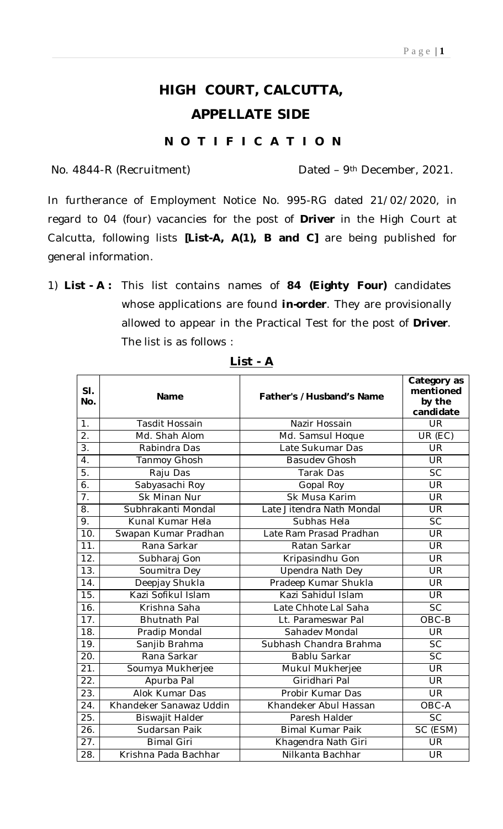## **HIGH COURT, CALCUTTA, APPELLATE SIDE**

## **N O T I F I C A T I O N**

No. 4844-R (Recruitment) Dated – 9th December, 2021.

In furtherance of Employment Notice No. 995-RG dated 21/02/2020, in regard to 04 (four) vacancies for the post of **Driver** in the High Court at Calcutta, following lists **[List-A, A(1), B and C]** are being published for general information.

1) **List - A :** This list contains names of **84 (Eighty Four)** candidates whose applications are found *in-order*. They are provisionally allowed to appear in the Practical Test for the post of **Driver**. The list is as follows :

| SI.<br>No.        | <b>Name</b>             | Father's /Husband's Name  | Category as<br>mentioned<br>by the<br>candidate |
|-------------------|-------------------------|---------------------------|-------------------------------------------------|
| 1.                | Tasdit Hossain          | Nazir Hossain             | <b>UR</b>                                       |
| $\overline{2}$ .  | Md. Shah Alom           | Md. Samsul Hoque          | UR (EC)                                         |
| $\overline{3}$ .  | Rabindra Das            | Late Sukumar Das          | <b>UR</b>                                       |
| 4.                | Tanmoy Ghosh            | <b>Basudev Ghosh</b>      | <b>UR</b>                                       |
| $\overline{5}$ .  | Raju Das                | Tarak Das                 | <b>SC</b>                                       |
| $\overline{6}$ .  | Sabyasachi Roy          | Gopal Roy                 | <b>UR</b>                                       |
| $\overline{7}$ .  | <b>Sk Minan Nur</b>     | Sk Musa Karim             | <b>UR</b>                                       |
| 8.                | Subhrakanti Mondal      | Late Jitendra Nath Mondal | <b>UR</b>                                       |
| 9.                | Kunal Kumar Hela        | Subhas Hela               | <b>SC</b>                                       |
| 10.               | Swapan Kumar Pradhan    | Late Ram Prasad Pradhan   | UR                                              |
| $\overline{11}$ . | Rana Sarkar             | Ratan Sarkar              | <b>UR</b>                                       |
| $\overline{12}$ . | Subharaj Gon            | Kripasindhu Gon           | <b>UR</b>                                       |
| 13.               | Soumitra Dey            | Upendra Nath Dey          | <b>UR</b>                                       |
| 14.               | Deepjay Shukla          | Pradeep Kumar Shukla      | <b>UR</b>                                       |
| 15.               | Kazi Sofikul Islam      | Kazi Sahidul Islam        | <b>UR</b>                                       |
| 16.               | Krishna Saha            | Late Chhote Lal Saha      | <b>SC</b>                                       |
| 17.               | <b>Bhutnath Pal</b>     | Lt. Parameswar Pal        | $OBC-B$                                         |
| 18.               | Pradip Mondal           | Sahadev Mondal            | <b>UR</b>                                       |
| 19.               | Sanjib Brahma           | Subhash Chandra Brahma    | <b>SC</b>                                       |
| 20.               | Rana Sarkar             | Bablu Sarkar              | <b>SC</b>                                       |
| 21.               | Soumya Mukherjee        | Mukul Mukherjee           | <b>UR</b>                                       |
| 22.               | Apurba Pal              | Giridhari Pal             | <b>UR</b>                                       |
| $\overline{23}$ . | Alok Kumar Das          | Probir Kumar Das          | <b>UR</b>                                       |
| 24.               | Khandeker Sanawaz Uddin | Khandeker Abul Hassan     | OBC-A                                           |
| $\overline{25}$ . | Biswajit Halder         | Paresh Halder             | $\overline{SC}$                                 |
| 26.               | Sudarsan Paik           | <b>Bimal Kumar Paik</b>   | SC (ESM)                                        |
| 27.               | <b>Bimal Giri</b>       | Khagendra Nath Giri       | <b>UR</b>                                       |
| 28.               | Krishna Pada Bachhar    | Nilkanta Bachhar          | <b>UR</b>                                       |

**List - A**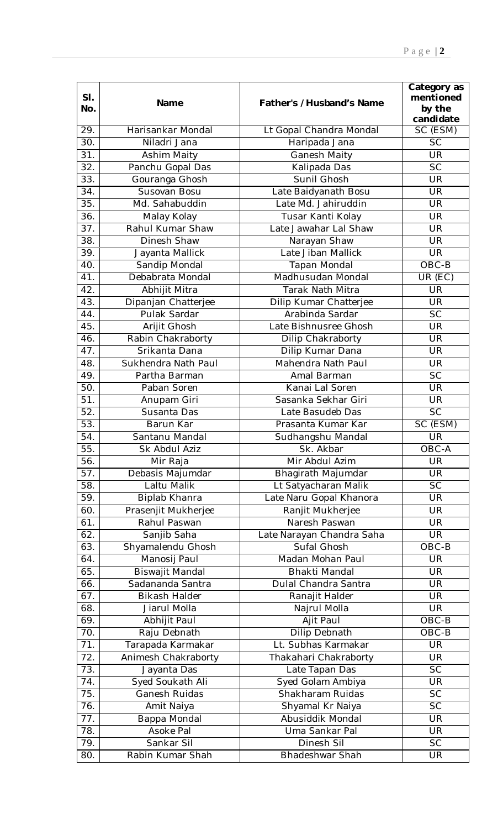| SI.<br>No.        | Name                      | Father's /Husband's Name             | Category as<br>mentioned<br>by the<br>candidate |
|-------------------|---------------------------|--------------------------------------|-------------------------------------------------|
| 29.               | Harisankar Mondal         | Lt Gopal Chandra Mondal              | SC (ESM)                                        |
| 30.               | Niladri Jana              | Haripada Jana                        | <b>SC</b>                                       |
| 31.               | Ashim Maity               | Ganesh Maity                         | <b>UR</b>                                       |
| 32.               | Panchu Gopal Das          | Kalipada Das                         | <b>SC</b>                                       |
| 33.               | Gouranga Ghosh            | Sunil Ghosh                          | UR                                              |
| 34.               | Susovan Bosu              | Late Baidyanath Bosu                 | <b>UR</b>                                       |
| 35.               | Md. Sahabuddin            | Late Md. Jahiruddin                  | <b>UR</b>                                       |
| 36.               | Malay Kolay               | Tusar Kanti Kolay                    | <b>UR</b>                                       |
| 37.               | Rahul Kumar Shaw          | Late Jawahar Lal Shaw                | <b>UR</b>                                       |
| 38.               | Dinesh Shaw               | Narayan Shaw                         | <b>UR</b>                                       |
| 39.               | Jayanta Mallick           | Late Jiban Mallick                   | <b>UR</b>                                       |
| 40.               | <b>Sandip Mondal</b>      | Tapan Mondal                         | $OBC-B$                                         |
| 41.               | Debabrata Mondal          | Madhusudan Mondal                    | UR (EC)                                         |
| 42.               | Abhijit Mitra             | Tarak Nath Mitra                     | <b>UR</b>                                       |
| 43.               | Dipanjan Chatterjee       | Dilip Kumar Chatterjee               | <b>UR</b>                                       |
| 44.               | Pulak Sardar              | Arabinda Sardar                      | <b>SC</b>                                       |
| 45.               | Arijit Ghosh              | Late Bishnusree Ghosh                | <b>UR</b>                                       |
| 46.               | Rabin Chakraborty         | Dilip Chakraborty                    | <b>UR</b>                                       |
| 47.               | Srikanta Dana             | Dilip Kumar Dana                     | UR                                              |
| 48.               | Sukhendra Nath Paul       | Mahendra Nath Paul                   | <b>UR</b>                                       |
| 49.               | Partha Barman             | Amal Barman                          | <b>SC</b>                                       |
| 50.               | Paban Soren               | Kanai Lal Soren                      | UR                                              |
| 51.               | Anupam Giri               | Sasanka Sekhar Giri                  | UR                                              |
| 52.               | Susanta Das               | Late Basudeb Das                     | <b>SC</b>                                       |
| 53.               | Barun Kar                 | Prasanta Kumar Kar                   | SC (ESM)                                        |
| 54.               | Santanu Mandal            | Sudhangshu Mandal                    | <b>UR</b>                                       |
| $\overline{55}$ . | Sk Abdul Aziz             | Sk. Akbar                            | OBC-A                                           |
| 56.               | Mir Raja                  | Mir Abdul Azim                       | <b>UR</b>                                       |
| 57.               | Debasis Majumdar          | Bhagirath Majumdar                   | <b>UR</b>                                       |
| 58.               | Laltu Malik               | Lt Satyacharan Malik                 | <b>SC</b>                                       |
| 59.               | Biplab Khanra             | Late Naru Gopal Khanora              | <b>UR</b>                                       |
| 60.               | Prasenjit Mukherjee       | Ranjit Mukherjee                     | <b>UR</b>                                       |
| 61.               | Rahul Paswan              | Naresh Paswan                        | <b>UR</b>                                       |
| 62.               | Sanjib Saha               | Late Narayan Chandra Saha            | <b>UR</b>                                       |
| 63.               | Shyamalendu Ghosh         | Sufal Ghosh                          | OBC-B                                           |
| 64.               | Manosij Paul              | Madan Mohan Paul                     | UR                                              |
| 65.               | Biswajit Mandal           | <b>Bhakti Mandal</b>                 | <b>UR</b>                                       |
| 66.               | Sadananda Santra          | Dulal Chandra Santra                 | <b>UR</b>                                       |
| 67.               | <b>Bikash Halder</b>      | Ranajit Halder                       | <b>UR</b>                                       |
| 68.               | Jiarul Molla              | Najrul Molla                         | <b>UR</b>                                       |
| 69.               | Abhijit Paul              | Ajit Paul                            | $OBC-B$                                         |
| 70.               | Raju Debnath              | Dilip Debnath                        | OBC-B                                           |
| 71.               | Tarapada Karmakar         | Lt. Subhas Karmakar                  | UR                                              |
| 72.               | Animesh Chakraborty       | Thakahari Chakraborty                | <b>UR</b>                                       |
| 73.               | Jayanta Das               | Late Tapan Das                       | <b>SC</b>                                       |
| 74.<br>75.        | Syed Soukath Ali          | Syed Golam Ambiya                    | <b>UR</b><br><b>SC</b>                          |
|                   | Ganesh Ruidas             | Shakharam Ruidas                     | <b>SC</b>                                       |
| 76.<br>77.        | Amit Naiya                | Shyamal Kr Naiya<br>Abusiddik Mondal | UR                                              |
| 78.               | Bappa Mondal<br>Asoke Pal | Uma Sankar Pal                       | <b>UR</b>                                       |
| 79.               | Sankar Sil                | Dinesh Sil                           | <b>SC</b>                                       |
| 80.               | Rabin Kumar Shah          | Bhadeshwar Shah                      | UR                                              |
|                   |                           |                                      |                                                 |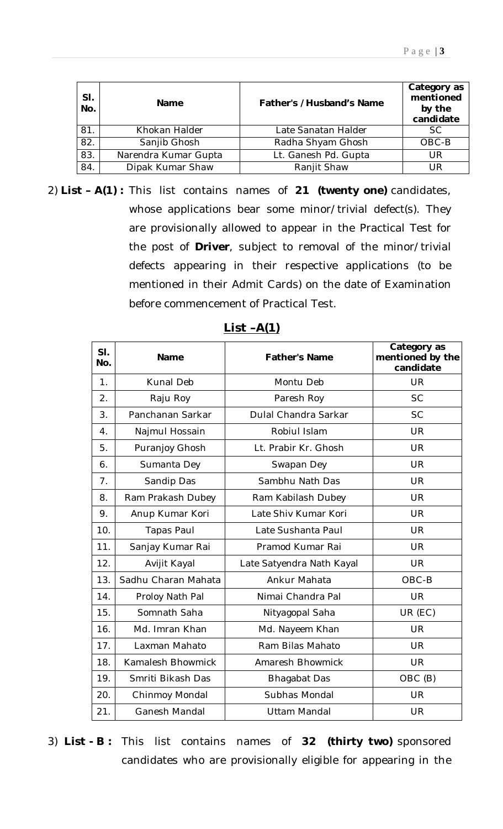| SI.<br>No. | <b>Name</b>          | Father's /Husband's Name | Category as<br>mentioned<br>by the<br>candidate |
|------------|----------------------|--------------------------|-------------------------------------------------|
| 81.        | Khokan Halder        | Late Sanatan Halder      | <b>SC</b>                                       |
| 82.        | Sanjib Ghosh         | Radha Shyam Ghosh        | OBC-B                                           |
| 83.        | Narendra Kumar Gupta | Lt. Ganesh Pd. Gupta     | UR                                              |
| 84.        | Dipak Kumar Shaw     | Ranjit Shaw              | UR                                              |

2) **List – A(1) :** This list contains names of **21 (twenty one)** candidates, whose applications bear some minor/trivial defect(s). They are provisionally allowed to appear in the Practical Test for the post of **Driver**, subject to removal of the minor/trivial defects appearing in their respective applications (to be mentioned in their Admit Cards) on the date of Examination before commencement of Practical Test.

| SI.<br>No.     | Name                | <b>Father's Name</b>      | Category as<br>mentioned by the<br>candidate |
|----------------|---------------------|---------------------------|----------------------------------------------|
| 1 <sub>1</sub> | Kunal Deb           | Montu Deb                 | <b>UR</b>                                    |
| 2.             | Raju Roy            | Paresh Roy                | <b>SC</b>                                    |
| 3.             | Panchanan Sarkar    | Dulal Chandra Sarkar      | <b>SC</b>                                    |
| 4.             | Najmul Hossain      | Robiul Islam              | <b>UR</b>                                    |
| 5.             | Puranjoy Ghosh      | Lt. Prabir Kr. Ghosh      | <b>UR</b>                                    |
| 6.             | Sumanta Dey         | Swapan Dey                | <b>UR</b>                                    |
| 7.             | Sandip Das          | Sambhu Nath Das           | <b>UR</b>                                    |
| 8.             | Ram Prakash Dubey   | Ram Kabilash Dubey        | <b>UR</b>                                    |
| 9.             | Anup Kumar Kori     | Late Shiv Kumar Kori      | <b>UR</b>                                    |
| 10.            | <b>Tapas Paul</b>   | Late Sushanta Paul        | <b>UR</b>                                    |
| 11.            | Sanjay Kumar Rai    | Pramod Kumar Rai          | <b>UR</b>                                    |
| 12.            | Avijit Kayal        | Late Satyendra Nath Kayal | <b>UR</b>                                    |
| 13.            | Sadhu Charan Mahata | Ankur Mahata              | OBC-B                                        |
| 14.            | Proloy Nath Pal     | Nimai Chandra Pal         | <b>UR</b>                                    |
| 15.            | Somnath Saha        | Nityagopal Saha           | UR (EC)                                      |
| 16.            | Md. Imran Khan      | Md. Nayeem Khan           | <b>UR</b>                                    |
| 17.            | Laxman Mahato       | Ram Bilas Mahato          | <b>UR</b>                                    |
| 18.            | Kamalesh Bhowmick   | Amaresh Bhowmick          | <b>UR</b>                                    |
| 19.            | Smriti Bikash Das   | <b>Bhagabat Das</b>       | OBC (B)                                      |
| 20.            | Chinmoy Mondal      | Subhas Mondal             | <b>UR</b>                                    |
| 21.            | Ganesh Mandal       | <b>Uttam Mandal</b>       | UR                                           |

**List –A(1)**

3) **List - B :** This list contains names of **32 (thirty two)** sponsored candidates who are provisionally eligible for appearing in the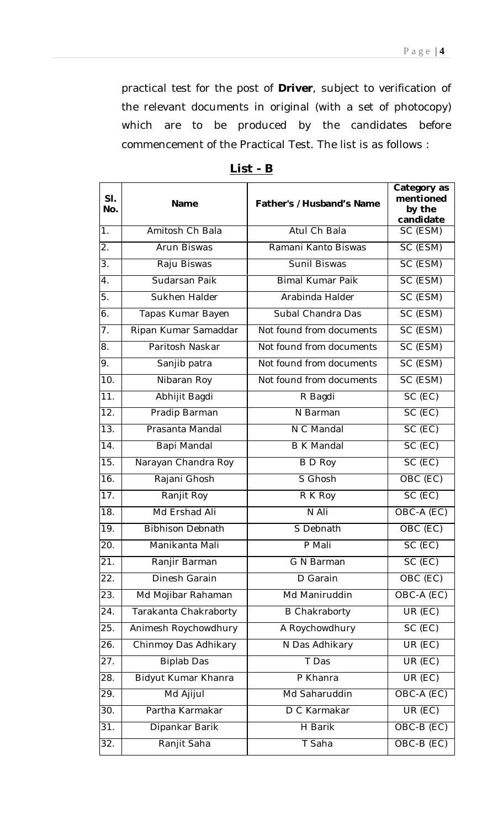practical test for the post of **Driver**, subject to verification of the relevant documents in original (with a set of photocopy) which are to be produced by the candidates before commencement of the Practical Test. The list is as follows :

| SI.<br>No.        | Name                    | Father's /Husband's Name | Category as<br>mentioned<br>by the<br>candidate |
|-------------------|-------------------------|--------------------------|-------------------------------------------------|
| 1.                | Amitosh Ch Bala         | Atul Ch Bala             | SC (ESM)                                        |
| 2.                | Arun Biswas             | Ramani Kanto Biswas      | SC (ESM)                                        |
| 3.                | Raju Biswas             | Sunil Biswas             | SC (ESM)                                        |
| 4.                | Sudarsan Paik           | <b>Bimal Kumar Paik</b>  | SC (ESM)                                        |
| 5.                | Sukhen Halder           | Arabinda Halder          | SC (ESM)                                        |
| 6.                | Tapas Kumar Bayen       | Subal Chandra Das        | SC (ESM)                                        |
| 7.                | Ripan Kumar Samaddar    | Not found from documents | SC (ESM)                                        |
| 8.                | Paritosh Naskar         | Not found from documents | SC (ESM)                                        |
| 9.                | Sanjib patra            | Not found from documents | SC (ESM)                                        |
| 10.               | Nibaran Roy             | Not found from documents | SC (ESM)                                        |
| 11.               | Abhijit Bagdi           | R Bagdi                  | SC (EC)                                         |
| 12.               | Pradip Barman           | N Barman                 | SC (EC)                                         |
| 13.               | Prasanta Mandal         | N C Mandal               | SC (EC)                                         |
| 14.               | Bapi Mandal             | <b>B K Mandal</b>        | SC (EC)                                         |
| 15.               | Narayan Chandra Roy     | <b>B</b> D Roy           | $\overline{SC}$ (EC)                            |
| 16.               | Rajani Ghosh            | S Ghosh                  | OBC (EC)                                        |
| 17.               | Ranjit Roy              | R K Roy                  | SC (EC)                                         |
| 18.               | Md Ershad Ali           | N Ali                    | OBC-A (EC)                                      |
| 19.               | <b>Bibhison Debnath</b> | S Debnath                | OBC (EC)                                        |
| 20.               | Manikanta Mali          | P Mali                   | $\overline{SC}$ (EC)                            |
| $\overline{21}$ . | Ranjir Barman           | G N Barman               | SC (EC)                                         |
| 22.               | Dinesh Garain           | D Garain                 | OBC (EC)                                        |
| 23.               | Md Mojibar Rahaman      | Md Maniruddin            | OBC-A (EC)                                      |
| 24.               | Tarakanta Chakraborty   | <b>B Chakraborty</b>     | UR (EC)                                         |
| 25.               | Animesh Roychowdhury    | A Roychowdhury           | SC (EC)                                         |
| 26.               | Chinmoy Das Adhikary    | N Das Adhikary           | $UR$ (EC)                                       |
| 27.               | <b>Biplab Das</b>       | T Das                    | $UR$ (EC)                                       |
| 28.               | Bidyut Kumar Khanra     | P Khanra                 | UR (EC)                                         |
| 29.               | Md Ajijul               | Md Saharuddin            | OBC-A (EC)                                      |
| 30.               | Partha Karmakar         | D C Karmakar             | UR (EC)                                         |
| 31.               | Dipankar Barik          | H Barik                  | OBC-B (EC)                                      |
| 32.               | Ranjit Saha             | T Saha                   | OBC-B (EC)                                      |

**List - B**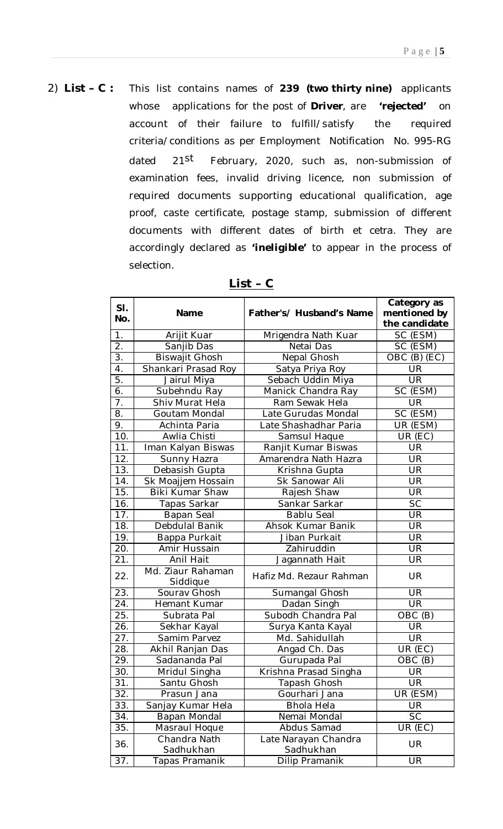2) **List – C :** This list contains names of **239 (two thirty nine)** applicants whose applications for the post of **Driver**, are **'***rejected'* on account of their failure to fulfill/satisfy the required criteria/conditions as per Employment Notification No. 995-RG dated 21<sup>st</sup> February, 2020, such as, non-submission of examination fees, invalid driving licence, non submission of required documents supporting educational qualification, age proof, caste certificate, postage stamp, submission of different documents with different dates of birth *et cetra.* They are accordingly declared as *'ineligible'* to appear in the process of selection.

| SI.<br>No.       | Name                          | Father's/ Husband's Name          | Category as<br>mentioned by<br>the candidate |
|------------------|-------------------------------|-----------------------------------|----------------------------------------------|
| 1.               | Arijit Kuar                   | Mrigendra Nath Kuar               | SC (ESM)                                     |
| $\overline{2}$ . | Sanjib Das                    | Netai Das                         | SC (ESM)                                     |
| 3.               | <b>Biswajit Ghosh</b>         | Nepal Ghosh                       | OBC (B) (EC)                                 |
| $\overline{4}$ . | Shankari Prasad Roy           | Satya Priya Roy                   | UR                                           |
| 5.               | Jairul Miya                   | Sebach Uddin Miya                 | <b>UR</b>                                    |
| $\overline{6}$ . | Subehndu Ray                  | Manick Chandra Ray                | SC (ESM)                                     |
| 7.               | Shiv Murat Hela               | Ram Sewak Hela                    | <b>UR</b>                                    |
| 8.               | Goutam Mondal                 | Late Gurudas Mondal               | SC (ESM)                                     |
| 9.               | Achinta Paria                 | Late Shashadhar Paria             | UR (ESM)                                     |
| 10.              | Awlia Chisti                  | Samsul Haque                      | UR (EC)                                      |
| 11.              | Iman Kalyan Biswas            | Ranjit Kumar Biswas               | UR                                           |
| 12.              | Sunny Hazra                   | Amarendra Nath Hazra              | UR                                           |
| 13.              | Debasish Gupta                | Krishna Gupta                     | <b>UR</b>                                    |
| 14.              | Sk Moajjem Hossain            | Sk Sanowar Ali                    | <b>UR</b>                                    |
| 15.              | Biki Kumar Shaw               | Rajesh Shaw                       | UR                                           |
| 16.              | Tapas Sarkar                  | Sankar Sarkar                     | SC                                           |
| 17.              | Bapan Seal                    | <b>Bablu Seal</b>                 | UR                                           |
| 18.              | Debdulal Banik                | Ahsok Kumar Banik                 | <b>UR</b>                                    |
| 19.              | Bappa Purkait                 | Jiban Purkait                     | UR                                           |
| 20.              | Amir Hussain                  | Zahiruddin                        | <b>UR</b>                                    |
| 21.              | Anil Hait                     | Jagannath Hait                    | <b>UR</b>                                    |
| 22.              | Md. Ziaur Rahaman<br>Siddique | Hafiz Md. Rezaur Rahman           | UR                                           |
| 23.              | Sourav Ghosh                  | Sumangal Ghosh                    | <b>UR</b>                                    |
| 24.              | Hemant Kumar                  | Dadan Singh                       | <b>UR</b>                                    |
| 25.              | Subrata Pal                   | Subodh Chandra Pal                | OBC (B)                                      |
| 26.              | Sekhar Kayal                  | Surya Kanta Kayal                 | <b>UR</b>                                    |
| 27.              | Samim Parvez                  | Md. Sahidullah                    | <b>UR</b>                                    |
| 28.              | Akhil Ranjan Das              | Angad Ch. Das                     | UR (EC)                                      |
| 29.              | Sadananda Pal                 | Gurupada Pal                      | OBC (B)                                      |
| 30.              | Mridul Singha                 | Krishna Prasad Singha             | UR                                           |
| 31.              | Santu Ghosh                   | Tapash Ghosh                      | <b>UR</b>                                    |
| 32.              | Prasun Jana                   | Gourhari Jana                     | UR (ESM)                                     |
| 33.              | Sanjay Kumar Hela             | <b>Bhola Hela</b>                 | UR                                           |
| 34.              | Bapan Mondal                  | Nemai Mondal                      | <b>SC</b>                                    |
| 35.              | Masraul Hoque                 | Abdus Samad                       | UR (EC)                                      |
| 36.              | Chandra Nath<br>Sadhukhan     | Late Narayan Chandra<br>Sadhukhan | <b>UR</b>                                    |
| 37.              | Tapas Pramanik                | Dilip Pramanik                    | UR                                           |

## **List – C**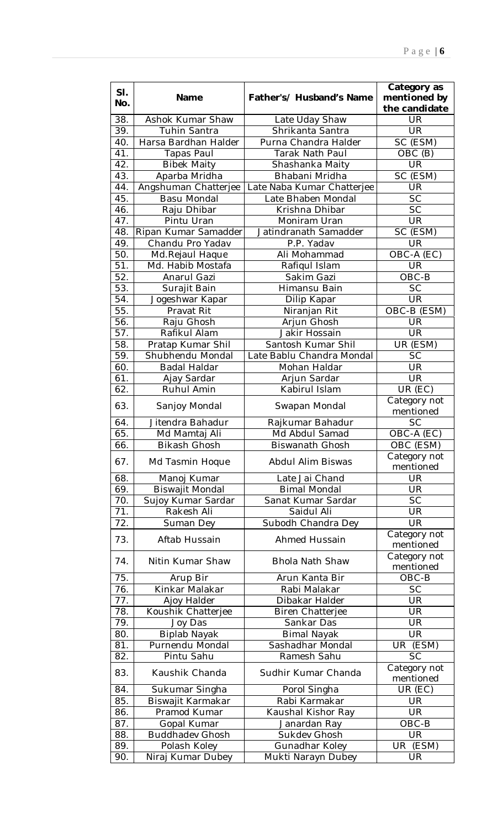| SI.<br>No.       | Name                   | Father's/ Husband's Name   | Category as<br>mentioned by<br>the candidate |
|------------------|------------------------|----------------------------|----------------------------------------------|
| 38.              | Ashok Kumar Shaw       | Late Uday Shaw             | UR                                           |
| 39.              | <b>Tuhin Santra</b>    | Shrikanta Santra           | UR                                           |
| 40.              | Harsa Bardhan Halder   | Purna Chandra Halder       | SC (ESM)                                     |
| 41.              | <b>Tapas Paul</b>      | Tarak Nath Paul            | OBC (B)                                      |
| 42.              | <b>Bibek Maity</b>     | Shashanka Maity            | UR                                           |
| 43.              | Aparba Mridha          | Bhabani Mridha             | SC (ESM)                                     |
| 44.              | Angshuman Chatterjee   | Late Naba Kumar Chatterjee | UR                                           |
| 45.              | <b>Basu Mondal</b>     | Late Bhaben Mondal         | SC                                           |
| 46.              | Raju Dhibar            | Krishna Dhibar             | <b>SC</b>                                    |
| 47.              | Pintu Uran             | Moniram Uran               | UR                                           |
| 48.              | Ripan Kumar Samadder   | Jatindranath Samadder      | SC (ESM)                                     |
| 49.              | Chandu Pro Yadav       | P.P. Yadav                 | UR                                           |
| 50.              | Md.Rejaul Haque        | Ali Mohammad               | OBC-A (EC)                                   |
| 51.              | Md. Habib Mostafa      | Rafiqul Islam              | UR                                           |
| 52.              | Anarul Gazi            | Sakim Gazi                 | OBC-B                                        |
| 53.              | Surajit Bain           | Himansu Bain               | <b>SC</b>                                    |
| 54.              | Jogeshwar Kapar        | Dilip Kapar                | <b>UR</b>                                    |
| 55.              | Pravat Rit             | Niranjan Rit               | OBC-B (ESM)                                  |
| 56.              | Raju Ghosh             | Arjun Ghosh                | UR                                           |
| 57.              | Rafikul Alam           | Jakir Hossain              | UR                                           |
| 58.              | Pratap Kumar Shil      | Santosh Kumar Shil         | UR (ESM)                                     |
| 59.              | Shubhendu Mondal       | Late Bablu Chandra Mondal  | $S\overline{C}$                              |
| 60.              | Badal Haldar           | Mohan Haldar               | <b>UR</b>                                    |
| 61.              | Ajay Sardar            | Arjun Sardar               | UR                                           |
| $\overline{6}2.$ | <b>Ruhul Amin</b>      | Kabirul Islam              | UR (EC)                                      |
| 63.              | Sanjoy Mondal          | Swapan Mondal              | Category not<br>mentioned                    |
| 64.              | Jitendra Bahadur       | Rajkumar Bahadur           | <b>SC</b>                                    |
| 65.              | Md Mamtaj Ali          | Md Abdul Samad             | OBC-A (EC)                                   |
| 66.              | <b>Bikash Ghosh</b>    | <b>Biswanath Ghosh</b>     | OBC (ESM)                                    |
| 67.              | Md Tasmin Hoque        | <b>Abdul Alim Biswas</b>   | Category not<br>mentioned                    |
| 68.              | Manoj Kumar            | Late Jai Chand             | <b>UR</b>                                    |
| 69.              | <b>Biswajit Mondal</b> | <b>Bimal Mondal</b>        | UR                                           |
| 70.              | Sujoy Kumar Sardar     | Sanat Kumar Sardar         | <b>SC</b>                                    |
| 71.              | Rakesh Ali             | Saidul Ali                 | UR                                           |
| 72.              | Suman Dey              | Subodh Chandra Dey         | UR                                           |
| 73.              | Aftab Hussain          | <b>Ahmed Hussain</b>       | Category not<br>mentioned                    |
| 74.              | Nitin Kumar Shaw       | <b>Bhola Nath Shaw</b>     | Category not<br>mentioned                    |
| 75.              | Arup Bir               | Arun Kanta Bir             | OBC-B                                        |
| 76.              | Kinkar Malakar         | Rabi Malakar               | <b>SC</b>                                    |
| 77.              | Ajoy Halder            | Dibakar Halder             | UR                                           |
| 78.              | Koushik Chatterjee     | <b>Biren Chatterjee</b>    | <b>UR</b>                                    |
| 79.              | Joy Das                | Sankar Das                 | UR                                           |
| 80.              | <b>Biplab Nayak</b>    | <b>Bimal Nayak</b>         | UR                                           |
| 81.              | Purnendu Mondal        | Sashadhar Mondal           | UR (ESM)                                     |
| 82.              | Pintu Sahu             | Ramesh Sahu                | <b>SC</b>                                    |
| 83.              | Kaushik Chanda         | Sudhir Kumar Chanda        | Category not<br>mentioned                    |
| 84.              | Sukumar Singha         | Porol Singha               | UR (EC)                                      |
| 85.              | Biswajit Karmakar      | Rabi Karmakar              | UR                                           |
| 86.              | Pramod Kumar           | Kaushal Kishor Ray         | <b>UR</b>                                    |
| 87.              | Gopal Kumar            | Janardan Ray               | OBC-B                                        |
| 88.              | <b>Buddhadev Ghosh</b> | Sukdev Ghosh               | <b>UR</b>                                    |
| 89.              | Polash Koley           | Gunadhar Koley             | UR<br>(ESM)                                  |
| 90.              | Niraj Kumar Dubey      | Mukti Narayn Dubey         | UR                                           |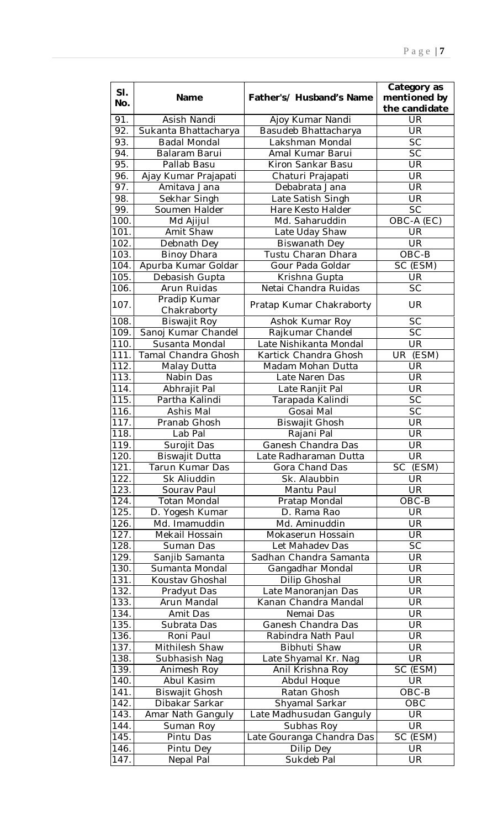| SI.<br>No. | Name                  | Father's/ Husband's Name  | Category as<br>mentioned by<br>the candidate |
|------------|-----------------------|---------------------------|----------------------------------------------|
| 91.        | Asish Nandi           | Ajoy Kumar Nandi          | UR                                           |
| 92.        | Sukanta Bhattacharya  | Basudeb Bhattacharya      | <b>UR</b>                                    |
| 93.        | <b>Badal Mondal</b>   | Lakshman Mondal           | <b>SC</b>                                    |
| 94.        | Balaram Barui         | Amal Kumar Barui          | <b>SC</b>                                    |
| 95.        | Pallab Basu           | Kiron Sankar Basu         | UR                                           |
| 96.        | Ajay Kumar Prajapati  | Chaturi Prajapati         | <b>UR</b>                                    |
| 97.        | Amitava Jana          | Debabrata Jana            | <b>UR</b>                                    |
| 98.        | Sekhar Singh          | Late Satish Singh         | UR                                           |
| 99.        | Soumen Halder         | Hare Kesto Halder         | <b>SC</b>                                    |
| 100.       | Md Ajijul             | Md. Saharuddin            | OBC-A (EC)                                   |
| 101.       | Amit Shaw             | Late Uday Shaw            | UR                                           |
| 102.       | Debnath Dey           | <b>Biswanath Dey</b>      | <b>UR</b>                                    |
| 103.       | <b>Binoy Dhara</b>    | Tustu Charan Dhara        | OBC-B                                        |
| 104.       | Apurba Kumar Goldar   | Gour Pada Goldar          | SC (ESM)                                     |
| 105.       | Debasish Gupta        | Krishna Gupta             | UR                                           |
| 106.       | Arun Ruidas           | Netai Chandra Ruidas      | <b>SC</b>                                    |
|            | Pradip Kumar          |                           |                                              |
| 107.       | Chakraborty           | Pratap Kumar Chakraborty  | <b>UR</b>                                    |
| 108.       | <b>Biswajit Roy</b>   | Ashok Kumar Roy           | <b>SC</b>                                    |
| 109.       | Sanoj Kumar Chandel   | Rajkumar Chandel          | <b>SC</b>                                    |
| 110.       | Susanta Mondal        | Late Nishikanta Mondal    | <b>UR</b>                                    |
| 111.       | Tamal Chandra Ghosh   | Kartick Chandra Ghosh     | (ESM)<br><b>UR</b>                           |
| 112.       | Malay Dutta           | Madam Mohan Dutta         | UR                                           |
| 113.       | Nabin Das             | Late Naren Das            | UR                                           |
| 114.       | Abhrajit Pal          | Late Ranjit Pal           | UR                                           |
| 115.       | Partha Kalindi        | Tarapada Kalindi          | $\overline{SC}$                              |
| 116.       | Ashis Mal             | Gosai Mal                 | <b>SC</b>                                    |
| 117.       | Pranab Ghosh          | <b>Biswajit Ghosh</b>     | <b>UR</b>                                    |
| 118.       | Lab Pal               | Rajani Pal                | UR                                           |
| 119.       | Surojit Das           | Ganesh Chandra Das        | UR                                           |
| 120.       | <b>Biswajit Dutta</b> | Late Radharaman Dutta     | UR                                           |
| 121.       | Tarun Kumar Das       | Gora Chand Das            | (ESM)<br><b>SC</b>                           |
| 122.       | Sk Aliuddin           | Sk. Alaubbin              | UR                                           |
| 123.       | Sourav Paul           | Mantu Paul                | $\overline{\mathsf{UR}}$                     |
| 124.       | <b>Totan Mondal</b>   | Pratap Mondal             | OBC-B                                        |
| 125.       | D. Yogesh Kumar       | D. Rama Rao               | <b>UR</b>                                    |
| 126.       | Md. Imamuddin         | Md. Aminuddin             | UR                                           |
| 127.       | Mekail Hossain        | Mokaserun Hossain         | <b>UR</b>                                    |
| 128.       | Suman Das             | Let Mahadev Das           | <b>SC</b>                                    |
| 129.       | Sanjib Samanta        | Sadhan Chandra Samanta    | <b>UR</b>                                    |
| 130.       | Sumanta Mondal        | Gangadhar Mondal          | UR                                           |
| 131.       | Koustav Ghoshal       | Dilip Ghoshal             | <b>UR</b>                                    |
| 132.       | Pradyut Das           | Late Manoranjan Das       | UR                                           |
| 133.       | Arun Mandal           | Kanan Chandra Mandal      | UR                                           |
| 134.       | Amit Das              | Nemai Das                 | <b>UR</b>                                    |
| 135.       | Subrata Das           | Ganesh Chandra Das        | <b>UR</b>                                    |
| 136.       | Roni Paul             | Rabindra Nath Paul        | UR                                           |
| 137.       | Mithilesh Shaw        | Bibhuti Shaw              | UR                                           |
| 138.       | Subhasish Nag         | Late Shyamal Kr. Nag      | UR                                           |
| 139.       | Animesh Roy           | Anil Krishna Roy          | SC (ESM)                                     |
| 140.       | Abul Kasim            | Abdul Hoque               | <b>UR</b>                                    |
| 141.       | <b>Biswajit Ghosh</b> | Ratan Ghosh               | OBC-B                                        |
| 142.       | Dibakar Sarkar        | Shyamal Sarkar            | OBC                                          |
| 143.       | Amar Nath Ganguly     | Late Madhusudan Ganguly   | UR                                           |
| 144.       | Suman Roy             | Subhas Roy                | UR                                           |
| 145.       | Pintu Das             | Late Gouranga Chandra Das | SC (ESM)                                     |
| 146.       | Pintu Dey             | Dilip Dey                 | <b>UR</b>                                    |
| 147.       | Nepal Pal             | Sukdeb Pal                | UR                                           |
|            |                       |                           |                                              |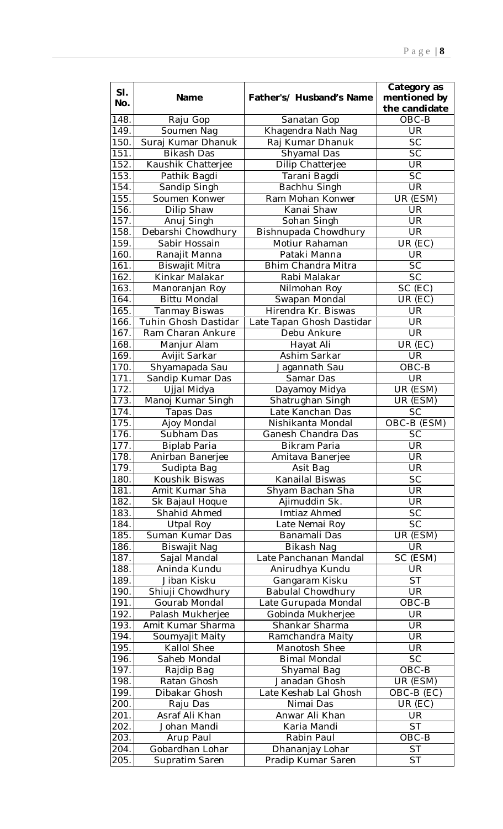| SI.<br>No.        | Name                  | Father's/ Husband's Name  | Category as<br>mentioned by<br>the candidate |
|-------------------|-----------------------|---------------------------|----------------------------------------------|
| 148.              | Raju Gop              | Sanatan Gop               | OBC-B                                        |
| 149.              | Soumen Nag            | Khagendra Nath Nag        | UR                                           |
| 150.              | Suraj Kumar Dhanuk    | Raj Kumar Dhanuk          | <b>SC</b>                                    |
| 151.              | Bikash Das            | Shyamal Das               | <b>SC</b>                                    |
| 152.              | Kaushik Chatterjee    | Dilip Chatterjee          | <b>UR</b>                                    |
| 153.              | Pathik Bagdi          | Tarani Bagdi              | <b>SC</b>                                    |
| 154.              | Sandip Singh          | Bachhu Singh              | UR                                           |
| 155.              | Soumen Konwer         | Ram Mohan Konwer          | UR (ESM)                                     |
| 156.              | Dilip Shaw            | Kanai Shaw                | UR                                           |
| 157.              | Anuj Singh            | Sohan Singh               | UR                                           |
| 158.              | Debarshi Chowdhury    | Bishnupada Chowdhury      | UR                                           |
| 159.              | Sabir Hossain         | Motiur Rahaman            | UR (EC)                                      |
| 160.              | Ranajit Manna         | Pataki Manna              | UR                                           |
| 161.              | <b>Biswajit Mitra</b> | <b>Bhim Chandra Mitra</b> | <b>SC</b>                                    |
| 162.              | Kinkar Malakar        | Rabi Malakar              | <b>SC</b>                                    |
| 163.              | Manoranjan Roy        | Nilmohan Roy              | SC (EC)                                      |
| 164.              | <b>Bittu Mondal</b>   | Swapan Mondal             | UR (EC)                                      |
| 165.              | <b>Tanmay Biswas</b>  | Hirendra Kr. Biswas       | UR                                           |
| 166.              | Tuhin Ghosh Dastidar  | Late Tapan Ghosh Dastidar | UR                                           |
| 167.              | Ram Charan Ankure     | Debu Ankure               | <b>UR</b>                                    |
| 168.              | Manjur Alam           | Hayat Ali                 | UR (EC)                                      |
| 169.              | Avijit Sarkar         | Ashim Sarkar              | <b>UR</b>                                    |
| 170.              | Shyamapada Sau        | Jagannath Sau             | OBC-B                                        |
| 171.              | Sandip Kumar Das      | Samar Das                 | <b>UR</b>                                    |
| 172.              | Ujjal Midya           | Dayamoy Midya             | UR (ESM)                                     |
| 173.              | Manoj Kumar Singh     | Shatrughan Singh          | UR (ESM)                                     |
| $\overline{1}74.$ | Tapas Das             | Late Kanchan Das          | <b>SC</b>                                    |
| 175.              | Ajoy Mondal           | Nishikanta Mondal         | OBC-B (ESM)                                  |
| 176.              | Subham Das            | Ganesh Chandra Das        | <b>SC</b>                                    |
| 177.              | <b>Biplab Paria</b>   | <b>Bikram Paria</b>       | UR                                           |
| 178.              | Anirban Banerjee      | Amitava Banerjee          | <b>UR</b>                                    |
| 179.              | Sudipta Bag           | Asit Bag                  | <b>UR</b>                                    |
| 180.              | Koushik Biswas        | Kanailal Biswas           | <b>SC</b>                                    |
| 181.              | Amit Kumar Sha        | Shyam Bachan Sha          | <b>UR</b>                                    |
| 182.              | Sk Bajaul Hoque       | Ajimuddin Sk.             | <b>UR</b>                                    |
| 183.              | Shahid Ahmed          | Imtiaz Ahmed              | <b>SC</b>                                    |
| 184.              | Utpal Roy             | Late Nemai Roy            | <b>SC</b>                                    |
| 185.              | Suman Kumar Das       | Banamali Das              | UR (ESM)                                     |
| 186.              | <b>Biswajit Nag</b>   | Bikash Nag                | <b>UR</b>                                    |
| 187.              | Sajal Mandal          | Late Panchanan Mandal     | SC (ESM)                                     |
| 188.              | Aninda Kundu          | Anirudhya Kundu           | UR                                           |
| 189.              | Jiban Kisku           | Gangaram Kisku            | <b>ST</b>                                    |
| 190.              | Shiuji Chowdhury      | <b>Babulal Chowdhury</b>  | UR                                           |
| 191.              | Gourab Mondal         | Late Gurupada Mondal      | $OBC-B$                                      |
| 192.              | Palash Mukherjee      | Gobinda Mukherjee         | UR                                           |
| 193.              | Amit Kumar Sharma     | Shankar Sharma            | $\overline{\mathsf{UR}}$                     |
| 194.              | Soumyajit Maity       | Ramchandra Maity          | UR                                           |
| 195.              | Kallol Shee           | Manotosh Shee             | <b>UR</b>                                    |
| 196.              | Saheb Mondal          | <b>Bimal Mondal</b>       | <b>SC</b>                                    |
| 197.              | Rajdip Bag            | Shyamal Bag               | OBC-B                                        |
| 198.              | Ratan Ghosh           | Janadan Ghosh             | UR (ESM)                                     |
| 199.              | Dibakar Ghosh         | Late Keshab Lal Ghosh     | OBC-B (EC)                                   |
| 200.              | Raju Das              | Nimai Das                 | UR (EC)                                      |
| 201.              | Asraf Ali Khan        | Anwar Ali Khan            | UR                                           |
| 202.              | Johan Mandi           | Karia Mandi               | $\overline{\mathsf{ST}}$                     |
| 203.              | Arup Paul             | Rabin Paul                | OBC-B                                        |
| 204.              | Gobardhan Lohar       | Dhananjay Lohar           | <b>ST</b>                                    |
| 205.              | Supratim Saren        | Pradip Kumar Saren        | <b>ST</b>                                    |
|                   |                       |                           |                                              |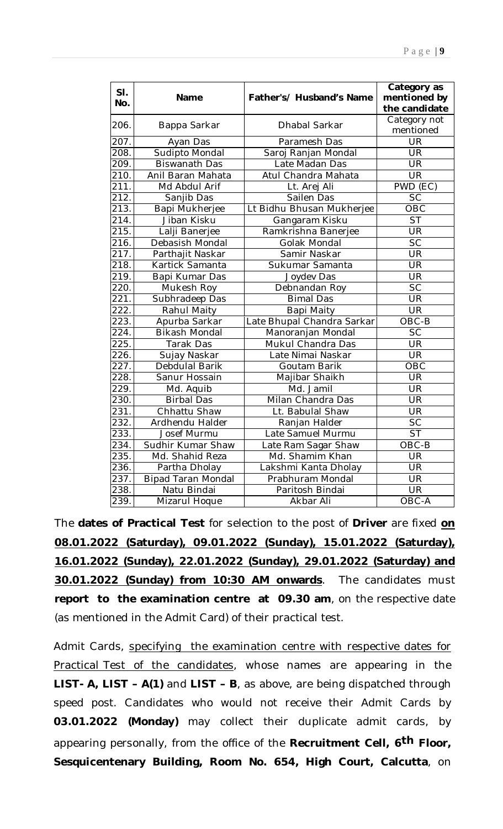| SI.<br>No.         | Name                      | Father's/ Husband's Name   | Category as<br>mentioned by<br>the candidate |
|--------------------|---------------------------|----------------------------|----------------------------------------------|
| 206.               | Bappa Sarkar              | Dhabal Sarkar              | Category not                                 |
|                    |                           |                            | mentioned                                    |
| 207.               | Ayan Das                  | Paramesh Das               | UR                                           |
| 208.               | Sudipto Mondal            | Saroj Ranjan Mondal        | <b>UR</b>                                    |
| 209.               | <b>Biswanath Das</b>      | Late Madan Das             | <b>UR</b>                                    |
| 210.               | Anil Baran Mahata         | Atul Chandra Mahata        | <b>UR</b>                                    |
| $\overline{2}$ 11. | Md Abdul Arif             | Lt. Arej Ali               | PWD (EC)                                     |
| 212.               | Sanjib Das                | Sailen Das                 | SC                                           |
| 213.               | Bapi Mukherjee            | Lt Bidhu Bhusan Mukherjee  | OBC                                          |
| 214.               | Jiban Kisku               | Gangaram Kisku             | <b>ST</b>                                    |
| 215.               | Lalji Banerjee            | Ramkrishna Banerjee        | <b>UR</b>                                    |
| 216.               | Debasish Mondal           | Golak Mondal               | <b>SC</b>                                    |
| 217.               | Parthajit Naskar          | Samir Naskar               | <b>UR</b>                                    |
| $\overline{218}$ . | Kartick Samanta           | Sukumar Samanta            | $\overline{\mathsf{UR}}$                     |
| 219.               | Bapi Kumar Das            | Joydev Das                 | UR                                           |
| $\overline{220}$ . | Mukesh Roy                | Debnandan Roy              | $\overline{SC}$                              |
| 221.               | Subhradeep Das            | <b>Bimal Das</b>           | <b>UR</b>                                    |
| 222.               | Rahul Maity               | Bapi Maity                 | <b>UR</b>                                    |
| 223.               | Apurba Sarkar             | Late Bhupal Chandra Sarkar | OBC-B                                        |
| 224.               | <b>Bikash Mondal</b>      | Manoranjan Mondal          | <b>SC</b>                                    |
| 225.               | Tarak Das                 | Mukul Chandra Das          | <b>UR</b>                                    |
| 226.               | Sujay Naskar              | Late Nimai Naskar          | UR                                           |
| 227.               | Debdulal Barik            | Goutam Barik               | OBC                                          |
| 228.               | Sanur Hossain             | Majibar Shaikh             | UR                                           |
| 229.               | Md. Aquib                 | Md. Jamil                  | <b>UR</b>                                    |
| 230.               | <b>Birbal Das</b>         | Milan Chandra Das          | UR                                           |
| 231.               | Chhattu Shaw              | Lt. Babulal Shaw           | <b>UR</b>                                    |
| 232.               | Ardhendu Halder           | Ranjan Halder              | $\overline{SC}$                              |
| 233.               | Josef Murmu               | Late Samuel Murmu          | $\overline{\mathsf{ST}}$                     |
| 234.               | Sudhir Kumar Shaw         | Late Ram Sagar Shaw        | OBC-B                                        |
| 235.               | Md. Shahid Reza           | Md. Shamim Khan            | UR                                           |
| 236.               | Partha Dholay             | Lakshmi Kanta Dholay       | <b>UR</b>                                    |
| 237.               | <b>Bipad Taran Mondal</b> | Prabhuram Mondal           | UR                                           |
| 238.               | Natu Bindai               | Paritosh Bindai            | <b>UR</b>                                    |
| 239.               | Mizarul Hoque             | Akbar Ali                  | OBC-A                                        |

The **dates of Practical Test** for selection to the post of **Driver** are fixed **on 08.01.2022 (Saturday), 09.01.2022 (Sunday), 15.01.2022 (Saturday), 16.01.2022 (Sunday), 22.01.2022 (Sunday), 29.01.2022 (Saturday) and 30.01.2022 (Sunday) from 10:30 AM onwards**. The candidates must **report to the examination centre at 09.30 am**, on the respective date (as mentioned in the Admit Card) of their practical test.

Admit Cards, specifying the examination centre with respective dates for Practical Test of the candidates, whose names are appearing in the **LIST- A, LIST – A(1)** and **LIST – B**, as above, are being dispatched through speed post. Candidates who would not receive their Admit Cards by **03.01.2022 (Monday)** may collect their duplicate admit cards, by appearing personally, from the office of the **Recruitment Cell, 6th Floor, Sesquicentenary Building, Room No. 654, High Court, Calcutta**, on